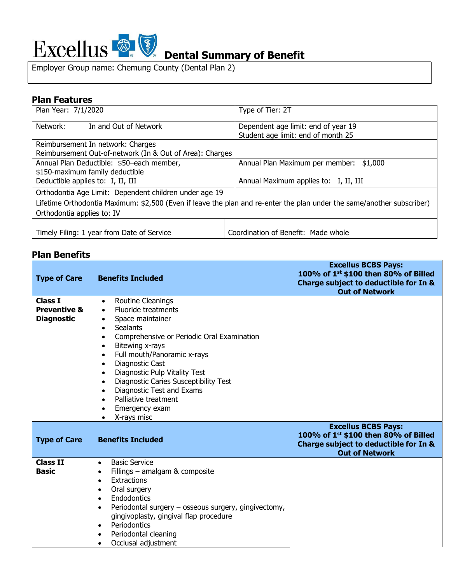

Employer Group name: Chemung County (Dental Plan 2)

# **Plan Features**

| Plan Year: 7/1/2020                                                                                                    | Type of Tier: 2T                           |  |  |  |
|------------------------------------------------------------------------------------------------------------------------|--------------------------------------------|--|--|--|
| In and Out of Network<br>Network:                                                                                      | Dependent age limit: end of year 19        |  |  |  |
|                                                                                                                        | Student age limit: end of month 25         |  |  |  |
| Reimbursement In network: Charges                                                                                      |                                            |  |  |  |
| Reimbursement Out-of-network (In & Out of Area): Charges                                                               |                                            |  |  |  |
| Annual Plan Deductible: \$50-each member,                                                                              | Annual Plan Maximum per member:<br>\$1,000 |  |  |  |
| \$150-maximum family deductible                                                                                        |                                            |  |  |  |
| Deductible applies to: I, II, III                                                                                      | Annual Maximum applies to: I, II, III      |  |  |  |
| Orthodontia Age Limit: Dependent children under age 19                                                                 |                                            |  |  |  |
| Lifetime Orthodontia Maximum: \$2,500 (Even if leave the plan and re-enter the plan under the same/another subscriber) |                                            |  |  |  |
| Orthodontia applies to: IV                                                                                             |                                            |  |  |  |
|                                                                                                                        |                                            |  |  |  |
| Timely Filing: 1 year from Date of Service                                                                             | Coordination of Benefit: Made whole        |  |  |  |

# **Plan Benefits**

| <b>Type of Care</b>                                     | <b>Benefits Included</b>                                                                                                                                                                                                                                                                                                                                                                                                                                                                                                     | <b>Excellus BCBS Pays:</b><br>100% of 1 <sup>st</sup> \$100 then 80% of Billed<br>Charge subject to deductible for In &<br><b>Out of Network</b> |
|---------------------------------------------------------|------------------------------------------------------------------------------------------------------------------------------------------------------------------------------------------------------------------------------------------------------------------------------------------------------------------------------------------------------------------------------------------------------------------------------------------------------------------------------------------------------------------------------|--------------------------------------------------------------------------------------------------------------------------------------------------|
| Class I<br><b>Preventive &amp;</b><br><b>Diagnostic</b> | Routine Cleanings<br>$\bullet$<br>Fluoride treatments<br>$\bullet$<br>Space maintainer<br>٠<br>Sealants<br>$\bullet$<br>Comprehensive or Periodic Oral Examination<br>$\bullet$<br>Bitewing x-rays<br>$\bullet$<br>Full mouth/Panoramic x-rays<br>$\bullet$<br>Diagnostic Cast<br>$\bullet$<br>Diagnostic Pulp Vitality Test<br>$\bullet$<br>Diagnostic Caries Susceptibility Test<br>$\bullet$<br>Diagnostic Test and Exams<br>$\bullet$<br>Palliative treatment<br>$\bullet$<br>Emergency exam<br>X-rays misc<br>$\bullet$ |                                                                                                                                                  |
| <b>Type of Care</b>                                     | <b>Benefits Included</b>                                                                                                                                                                                                                                                                                                                                                                                                                                                                                                     | <b>Excellus BCBS Pays:</b><br>100% of 1st \$100 then 80% of Billed<br>Charge subject to deductible for In &<br><b>Out of Network</b>             |
| <b>Class II</b><br><b>Basic</b>                         | <b>Basic Service</b><br>$\bullet$<br>Fillings – amalgam & composite<br><b>Extractions</b><br>$\bullet$<br>Oral surgery<br>$\bullet$<br>Endodontics<br>$\bullet$<br>Periodontal surgery - osseous surgery, gingivectomy,<br>$\bullet$<br>gingivoplasty, gingival flap procedure<br>Periodontics<br>$\bullet$<br>Periodontal cleaning<br>Occlusal adjustment<br>$\bullet$                                                                                                                                                      |                                                                                                                                                  |